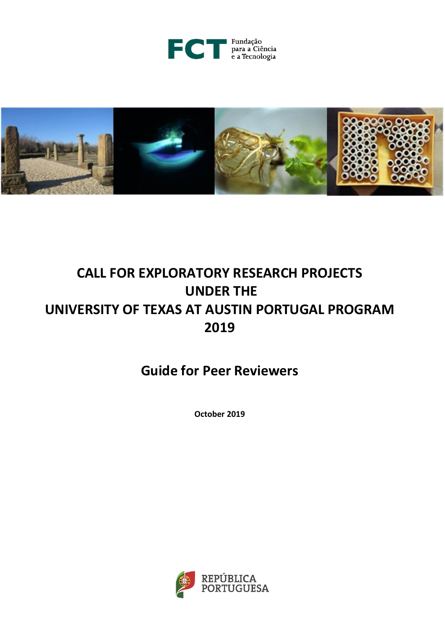



# **CALL FOR EXPLORATORY RESEARCH PROJECTS UNDER THE UNIVERSITY OF TEXAS AT AUSTIN PORTUGAL PROGRAM 2019**

**Guide for Peer Reviewers**

**October 2019**

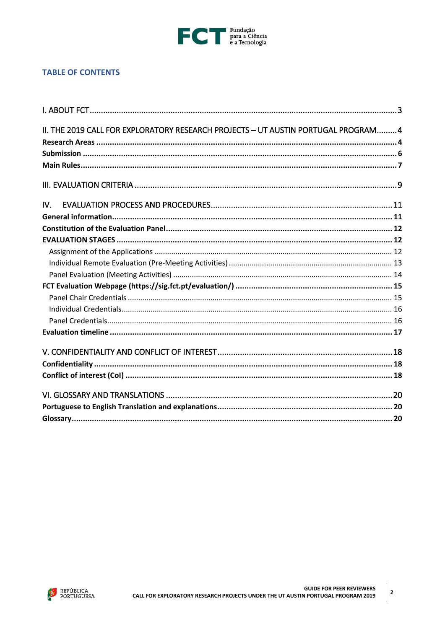

# **TABLE OF CONTENTS**

|     | II. THE 2019 CALL FOR EXPLORATORY RESEARCH PROJECTS - UT AUSTIN PORTUGAL PROGRAM 4 |  |
|-----|------------------------------------------------------------------------------------|--|
|     |                                                                                    |  |
|     |                                                                                    |  |
|     |                                                                                    |  |
|     |                                                                                    |  |
| IV. |                                                                                    |  |
|     |                                                                                    |  |
|     |                                                                                    |  |
|     |                                                                                    |  |
|     |                                                                                    |  |
|     |                                                                                    |  |
|     |                                                                                    |  |
|     |                                                                                    |  |
|     |                                                                                    |  |
|     |                                                                                    |  |
|     |                                                                                    |  |
|     |                                                                                    |  |
|     |                                                                                    |  |
|     |                                                                                    |  |
|     |                                                                                    |  |
|     |                                                                                    |  |
|     |                                                                                    |  |
|     |                                                                                    |  |
|     |                                                                                    |  |

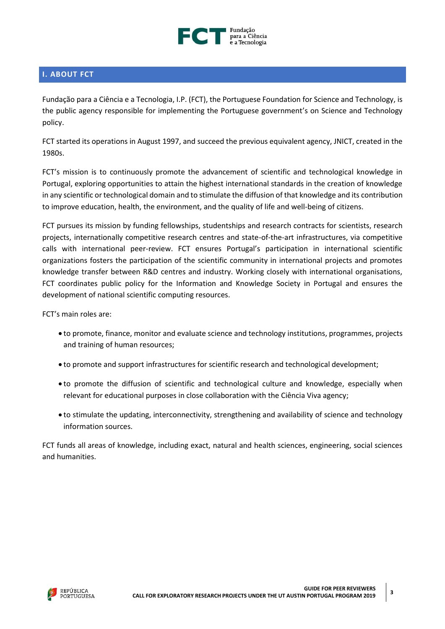

# <span id="page-2-0"></span>**I. ABOUT FCT**

Fundação para a Ciência e a Tecnologia, I.P. (FCT), the Portuguese Foundation for Science and Technology, is the public agency responsible for implementing the Portuguese government's on Science and Technology policy.

FCT started its operations in August 1997, and succeed the previous equivalent agency, JNICT, created in the 1980s.

FCT's mission is to continuously promote the advancement of scientific and technological knowledge in Portugal, exploring opportunities to attain the highest international standards in the creation of knowledge in any scientific or technological domain and to stimulate the diffusion of that knowledge and its contribution to improve education, health, the environment, and the quality of life and well-being of citizens.

FCT pursues its mission by funding fellowships, studentships and research contracts for scientists, research projects, internationally competitive research centres and state-of-the-art infrastructures, via competitive calls with international peer-review. FCT ensures Portugal's participation in international scientific organizations fosters the participation of the scientific community in international projects and promotes knowledge transfer between R&D centres and industry. Working closely with international organisations, FCT coordinates public policy for the Information and Knowledge Society in Portugal and ensures the development of national scientific computing resources.

FCT's main roles are:

- to promote, finance, monitor and evaluate science and technology institutions, programmes, projects and training of human resources;
- to promote and support infrastructures for scientific research and technological development;
- to promote the diffusion of scientific and technological culture and knowledge, especially when relevant for educational purposes in close collaboration with the Ciência Viva agency;
- to stimulate the updating, interconnectivity, strengthening and availability of science and technology information sources.

FCT funds all areas of knowledge, including exact, natural and health sciences, engineering, social sciences and humanities.

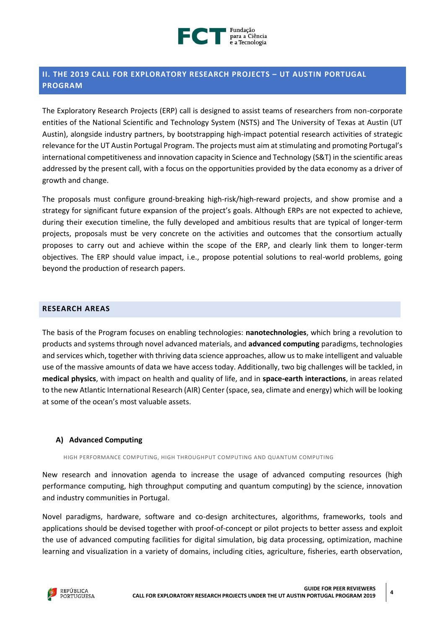

# <span id="page-3-0"></span>**II. THE 2019 CALL FOR EXPLORATORY RESEARCH PROJECTS – UT AUSTIN PORTUGAL PROGRAM**

The Exploratory Research Projects (ERP) call is designed to assist teams of researchers from non-corporate entities of the National Scientific and Technology System (NSTS) and The University of Texas at Austin (UT Austin), alongside industry partners, by bootstrapping high-impact potential research activities of strategic relevance for the UT Austin Portugal Program. The projects must aim at stimulating and promoting Portugal's international competitiveness and innovation capacity in Science and Technology (S&T) in the scientific areas addressed by the present call, with a focus on the opportunities provided by the data economy as a driver of growth and change.

The proposals must configure ground-breaking high-risk/high-reward projects, and show promise and a strategy for significant future expansion of the project's goals. Although ERPs are not expected to achieve, during their execution timeline, the fully developed and ambitious results that are typical of longer-term projects, proposals must be very concrete on the activities and outcomes that the consortium actually proposes to carry out and achieve within the scope of the ERP, and clearly link them to longer-term objectives. The ERP should value impact, i.e., propose potential solutions to real-world problems, going beyond the production of research papers.

## <span id="page-3-1"></span>**RESEARCH AREAS**

The basis of the Program focuses on enabling technologies: **nanotechnologies**, which bring a revolution to products and systems through novel advanced materials, and **advanced computing** paradigms, technologies and services which, together with thriving data science approaches, allow us to make intelligent and valuable use of the massive amounts of data we have access today. Additionally, two big challenges will be tackled, in **medical physics**, with impact on health and quality of life, and in **space-earth interactions**, in areas related to the new Atlantic International Research (AIR) Center (space, sea, climate and energy) which will be looking at some of the ocean's most valuable assets.

## **A) Advanced Computing**

HIGH PERFORMANCE COMPUTING, HIGH THROUGHPUT COMPUTING AND QUANTUM COMPUTING

New research and innovation agenda to increase the usage of advanced computing resources (high performance computing, high throughput computing and quantum computing) by the science, innovation and industry communities in Portugal.

Novel paradigms, hardware, software and co-design architectures, algorithms, frameworks, tools and applications should be devised together with proof-of-concept or pilot projects to better assess and exploit the use of advanced computing facilities for digital simulation, big data processing, optimization, machine learning and visualization in a variety of domains, including cities, agriculture, fisheries, earth observation,

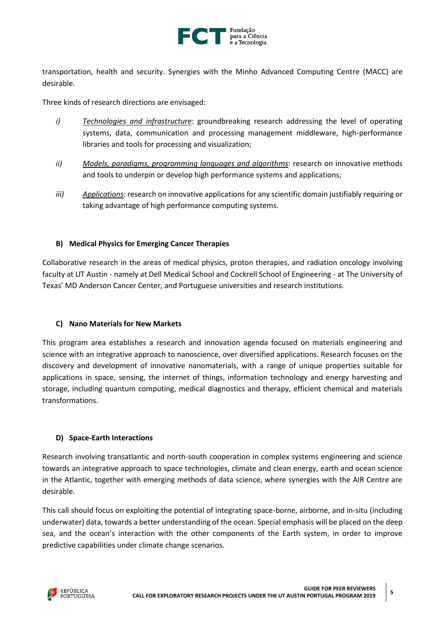

transportation, health and security. Synergies with the Minho Advanced Computing Centre (MACC) are desirable.

Three kinds of research directions are envisaged:

- *i) Technologies and infrastructure*: groundbreaking research addressing the level of operating systems, data, communication and processing management middleware, high-performance libraries and tools for processing and visualization;
- *ii) Models, paradigms, programming languages and algorithms*: research on innovative methods and tools to underpin or develop high performance systems and applications;
- *iii) Applications*: research on innovative applications for any scientific domain justifiably requiring or taking advantage of high performance computing systems.

## **B) Medical Physics for Emerging Cancer Therapies**

Collaborative research in the areas of medical physics, proton therapies, and radiation oncology involving faculty at UT Austin - namely at Dell Medical School and Cockrell School of Engineering - at The University of Texas' MD Anderson Cancer Center, and Portuguese universities and research institutions.

## **C) Nano Materials for New Markets**

This program area establishes a research and innovation agenda focused on materials engineering and science with an integrative approach to nanoscience, over diversified applications. Research focuses on the discovery and development of innovative nanomaterials, with a range of unique properties suitable for applications in space, sensing, the internet of things, information technology and energy harvesting and storage, including quantum computing, medical diagnostics and therapy, efficient chemical and materials transformations.

## **D) Space-Earth Interactions**

Research involving transatlantic and north-south cooperation in complex systems engineering and science towards an integrative approach to space technologies, climate and clean energy, earth and ocean science in the Atlantic, together with emerging methods of data science, where synergies with the AIR Centre are desirable.

This call should focus on exploiting the potential of integrating space-borne, airborne, and in-situ (including underwater) data, towards a better understanding of the ocean. Special emphasis will be placed on the deep sea, and the ocean's interaction with the other components of the Earth system, in order to improve predictive capabilities under climate change scenarios.

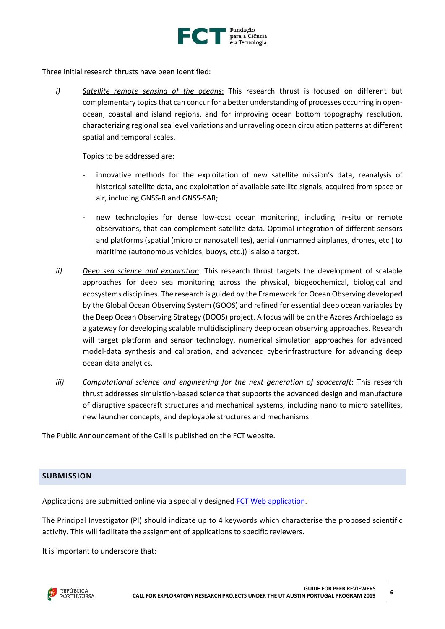

Three initial research thrusts have been identified:

*i) Satellite remote sensing of the oceans*: This research thrust is focused on different but complementary topics that can concur for a better understanding of processes occurring in openocean, coastal and island regions, and for improving ocean bottom topography resolution, characterizing regional sea level variations and unraveling ocean circulation patterns at different spatial and temporal scales.

Topics to be addressed are:

- innovative methods for the exploitation of new satellite mission's data, reanalysis of historical satellite data, and exploitation of available satellite signals, acquired from space or air, including GNSS-R and GNSS-SAR;
- new technologies for dense low-cost ocean monitoring, including in-situ or remote observations, that can complement satellite data. Optimal integration of different sensors and platforms (spatial (micro or nanosatellites), aerial (unmanned airplanes, drones, etc.) to maritime (autonomous vehicles, buoys, etc.)) is also a target.
- *ii) Deep sea science and exploration*: This research thrust targets the development of scalable approaches for deep sea monitoring across the physical, biogeochemical, biological and ecosystems disciplines. The research is guided by the Framework for Ocean Observing developed by the Global Ocean Observing System (GOOS) and refined for essential deep ocean variables by the Deep Ocean Observing Strategy (DOOS) project. A focus will be on the Azores Archipelago as a gateway for developing scalable multidisciplinary deep ocean observing approaches. Research will target platform and sensor technology, numerical simulation approaches for advanced model-data synthesis and calibration, and advanced cyberinfrastructure for advancing deep ocean data analytics.
- *iii) Computational science and engineering for the next generation of spacecraft*: This research thrust addresses simulation-based science that supports the advanced design and manufacture of disruptive spacecraft structures and mechanical systems, including nano to micro satellites, new launcher concepts, and deployable structures and mechanisms.

The Public Announcement of the Call is published on the FCT website.

## <span id="page-5-0"></span>**SUBMISSION**

Applications are submitted online via a specially designed [FCT Web application.](https://concursos.fct.pt/projectos/)

The Principal Investigator (PI) should indicate up to 4 keywords which characterise the proposed scientific activity. This will facilitate the assignment of applications to specific reviewers.

It is important to underscore that:

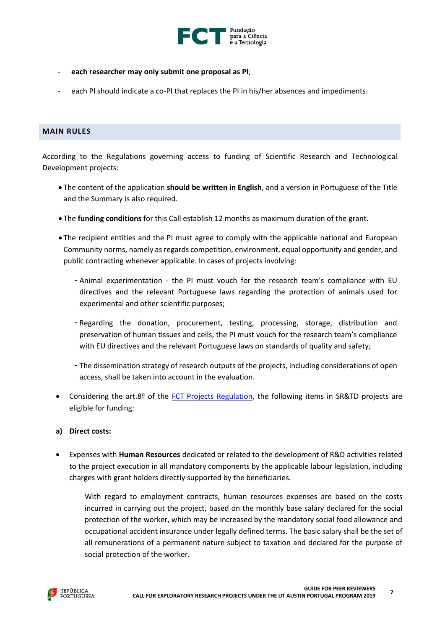

- **each researcher may only submit one proposal as PI**;
- each PI should indicate a co-PI that replaces the PI in his/her absences and impediments.

## <span id="page-6-0"></span>**MAIN RULES**

According to the Regulations governing access to funding of Scientific Research and Technological Development projects:

- The content of the application **should be written in English**, and a version in Portuguese of the Title and the Summary is also required.
- The **funding conditions** for this Call establish 12 months as maximum duration of the grant.
- The recipient entities and the PI must agree to comply with the applicable national and European Community norms, namely as regards competition, environment, equal opportunity and gender, and public contracting whenever applicable. In cases of projects involving:
	- Animal experimentation the PI must vouch for the research team's compliance with EU directives and the relevant Portuguese laws regarding the protection of animals used for experimental and other scientific purposes;
	- Regarding the donation, procurement, testing, processing, storage, distribution and preservation of human tissues and cells, the PI must vouch for the research team's compliance with EU directives and the relevant Portuguese laws on standards of quality and safety;
	- The dissemination strategy of research outputs of the projects, including considerations of open access, shall be taken into account in the evaluation.
- Considering the art.8º of the [FCT Projects Regulation,](http://www.fct.pt/apoios/projectos/regulamentofundosnacionais.phtml.en) the following items in SR&TD projects are eligible for funding:
- **a) Direct costs:**
- Expenses with **Human Resources** dedicated or related to the development of R&D activities related to the project execution in all mandatory components by the applicable labour legislation, including charges with grant holders directly supported by the beneficiaries.

With regard to employment contracts, human resources expenses are based on the costs incurred in carrying out the project, based on the monthly base salary declared for the social protection of the worker, which may be increased by the mandatory social food allowance and occupational accident insurance under legally defined terms. The basic salary shall be the set of all remunerations of a permanent nature subject to taxation and declared for the purpose of social protection of the worker.

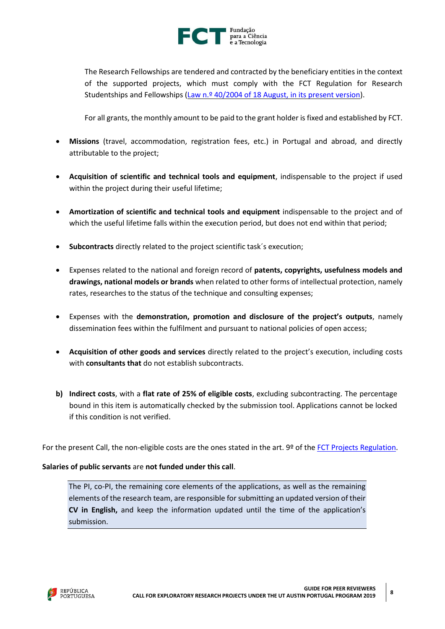

The Research Fellowships are tendered and contracted by the beneficiary entities in the context of the supported projects, which must comply with the FCT Regulation for Research Studentships and Fellowships [\(Law n.º 40/2004 of 18 August, in its present version\)](https://dre.pt/web/guest/legislacao-consolidada/-/lc/58216179/view?w=2019-08-28).

For all grants, the monthly amount to be paid to the grant holder is fixed and established by FCT.

- **Missions** (travel, accommodation, registration fees, etc.) in Portugal and abroad, and directly attributable to the project;
- **Acquisition of scientific and technical tools and equipment**, indispensable to the project if used within the project during their useful lifetime;
- **Amortization of scientific and technical tools and equipment** indispensable to the project and of which the useful lifetime falls within the execution period, but does not end within that period;
- **Subcontracts** directly related to the project scientific task´s execution;
- Expenses related to the national and foreign record of **patents, copyrights, usefulness models and drawings, national models or brands** when related to other forms of intellectual protection, namely rates, researches to the status of the technique and consulting expenses;
- Expenses with the **demonstration, promotion and disclosure of the project's outputs**, namely dissemination fees within the fulfilment and pursuant to national policies of open access;
- **Acquisition of other goods and services** directly related to the project's execution, including costs with **consultants that** do not establish subcontracts.
- **b) Indirect costs**, with a **flat rate of 25% of eligible costs**, excluding subcontracting. The percentage bound in this item is automatically checked by the submission tool. Applications cannot be locked if this condition is not verified.

For the present Call, the non-eligible costs are the ones stated in the art. 9º of the [FCT Projects Regulation.](http://www.fct.pt/apoios/projectos/regulamentofundosnacionais.phtml.en)

## **Salaries of public servants** are **not funded under this call**.

The PI, co-PI, the remaining core elements of the applications, as well as the remaining elements of the research team, are responsible for submitting an updated version of their **CV in English,** and keep the information updated until the time of the application's submission.

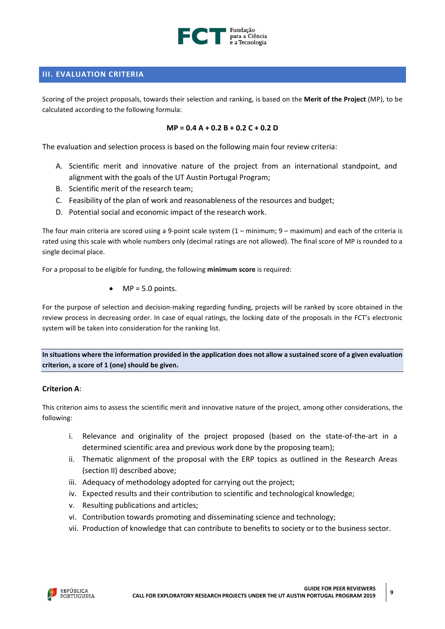

## <span id="page-8-0"></span>**III. EVALUATION CRITERIA**

Scoring of the project proposals, towards their selection and ranking, is based on the **Merit of the Project** (MP), to be calculated according to the following formula:

#### **MP = 0.4 A + 0.2 B + 0.2 C + 0.2 D**

The evaluation and selection process is based on the following main four review criteria:

- A. Scientific merit and innovative nature of the project from an international standpoint, and alignment with the goals of the UT Austin Portugal Program;
- B. Scientific merit of the research team;
- C. Feasibility of the plan of work and reasonableness of the resources and budget;
- D. Potential social and economic impact of the research work.

The four main criteria are scored using a 9-point scale system  $(1 - \text{minimum})$ , 9 – maximum) and each of the criteria is rated using this scale with whole numbers only (decimal ratings are not allowed). The final score of MP is rounded to a single decimal place.

For a proposal to be eligible for funding, the following **minimum score** is required:

 $\bullet$  MP = 5.0 points.

For the purpose of selection and decision-making regarding funding, projects will be ranked by score obtained in the review process in decreasing order. In case of equal ratings, the locking date of the proposals in the FCT's electronic system will be taken into consideration for the ranking list.

In situations where the information provided in the application does not allow a sustained score of a given evaluation **criterion, a score of 1 (one) should be given.**

## **Criterion A**:

This criterion aims to assess the scientific merit and innovative nature of the project, among other considerations, the following:

- i. Relevance and originality of the project proposed (based on the state-of-the-art in a determined scientific area and previous work done by the proposing team);
- ii. Thematic alignment of the proposal with the ERP topics as outlined in the Research Areas (section II) described above;
- iii. Adequacy of methodology adopted for carrying out the project;
- iv. Expected results and their contribution to scientific and technological knowledge;
- v. Resulting publications and articles;
- vi. Contribution towards promoting and disseminating science and technology;
- vii. Production of knowledge that can contribute to benefits to society or to the business sector.

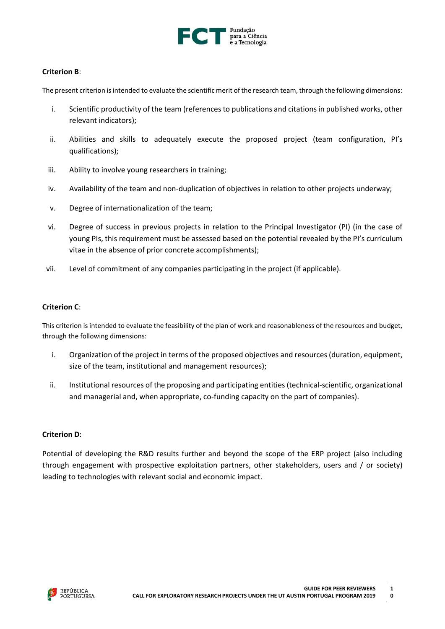

## **Criterion B**:

The present criterion isintended to evaluate the scientific merit of the research team, through the following dimensions:

- i. Scientific productivity of the team (references to publications and citations in published works, other relevant indicators);
- ii. Abilities and skills to adequately execute the proposed project (team configuration, PI's qualifications);
- iii. Ability to involve young researchers in training;
- iv. Availability of the team and non-duplication of objectives in relation to other projects underway;
- v. Degree of internationalization of the team;
- vi. Degree of success in previous projects in relation to the Principal Investigator (PI) (in the case of young PIs, this requirement must be assessed based on the potential revealed by the PI's curriculum vitae in the absence of prior concrete accomplishments);
- vii. Level of commitment of any companies participating in the project (if applicable).

## **Criterion C**:

This criterion is intended to evaluate the feasibility of the plan of work and reasonableness of the resources and budget, through the following dimensions:

- i. Organization of the project in terms of the proposed objectives and resources (duration, equipment, size of the team, institutional and management resources);
- ii. Institutional resources of the proposing and participating entities (technical-scientific, organizational and managerial and, when appropriate, co-funding capacity on the part of companies).

#### **Criterion D**:

Potential of developing the R&D results further and beyond the scope of the ERP project (also including through engagement with prospective exploitation partners, other stakeholders, users and / or society) leading to technologies with relevant social and economic impact.

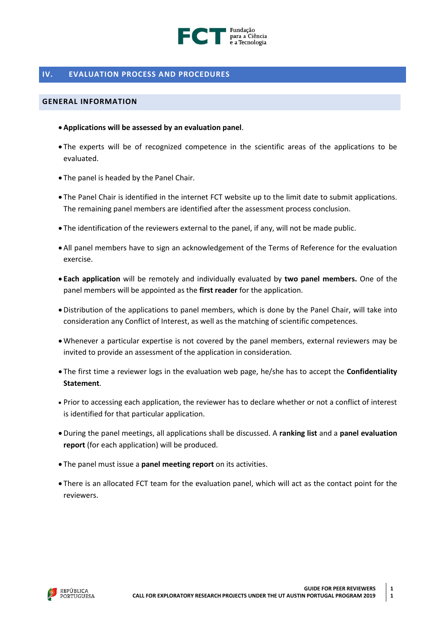

## <span id="page-10-0"></span>**IV. EVALUATION PROCESS AND PROCEDURES**

#### <span id="page-10-1"></span>**GENERAL INFORMATION**

- **Applications will be assessed by an evaluation panel**.
- The experts will be of recognized competence in the scientific areas of the applications to be evaluated.
- The panel is headed by the Panel Chair.
- The Panel Chair is identified in the internet FCT website up to the limit date to submit applications. The remaining panel members are identified after the assessment process conclusion.
- The identification of the reviewers external to the panel, if any, will not be made public.
- All panel members have to sign an acknowledgement of the Terms of Reference for the evaluation exercise.
- **Each application** will be remotely and individually evaluated by **two panel members.** One of the panel members will be appointed as the **first reader** for the application.
- Distribution of the applications to panel members, which is done by the Panel Chair, will take into consideration any Conflict of Interest, as well as the matching of scientific competences.
- Whenever a particular expertise is not covered by the panel members, external reviewers may be invited to provide an assessment of the application in consideration.
- The first time a reviewer logs in the evaluation web page, he/she has to accept the **Confidentiality Statement**.
- Prior to accessing each application, the reviewer has to declare whether or not a conflict of interest is identified for that particular application.
- During the panel meetings, all applications shall be discussed. A **ranking list** and a **panel evaluation report** (for each application) will be produced.
- The panel must issue a **panel meeting report** on its activities.
- There is an allocated FCT team for the evaluation panel, which will act as the contact point for the reviewers.

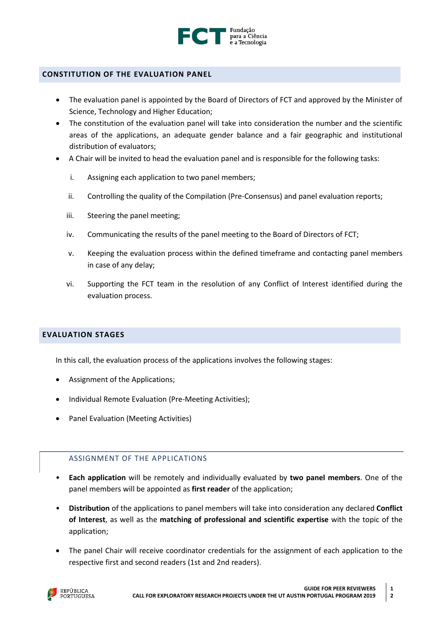

## <span id="page-11-0"></span>**CONSTITUTION OF THE EVALUATION PANEL**

- The evaluation panel is appointed by the Board of Directors of FCT and approved by the Minister of Science, Technology and Higher Education;
- The constitution of the evaluation panel will take into consideration the number and the scientific areas of the applications, an adequate gender balance and a fair geographic and institutional distribution of evaluators;
- A Chair will be invited to head the evaluation panel and is responsible for the following tasks:
	- i. Assigning each application to two panel members;
	- ii. Controlling the quality of the Compilation (Pre-Consensus) and panel evaluation reports;
	- iii. Steering the panel meeting;
	- iv. Communicating the results of the panel meeting to the Board of Directors of FCT;
	- v. Keeping the evaluation process within the defined timeframe and contacting panel members in case of any delay;
	- vi. Supporting the FCT team in the resolution of any Conflict of Interest identified during the evaluation process.

## <span id="page-11-1"></span>**EVALUATION STAGES**

In this call, the evaluation process of the applications involves the following stages:

- Assignment of the Applications;
- Individual Remote Evaluation (Pre-Meeting Activities);
- Panel Evaluation (Meeting Activities)

## <span id="page-11-2"></span>ASSIGNMENT OF THE APPLICATIONS

- **Each application** will be remotely and individually evaluated by **two panel members**. One of the panel members will be appointed as **first reader** of the application;
- **Distribution** of the applications to panel members will take into consideration any declared **Conflict of Interest**, as well as the **matching of professional and scientific expertise** with the topic of the application;
- The panel Chair will receive coordinator credentials for the assignment of each application to the respective first and second readers (1st and 2nd readers).

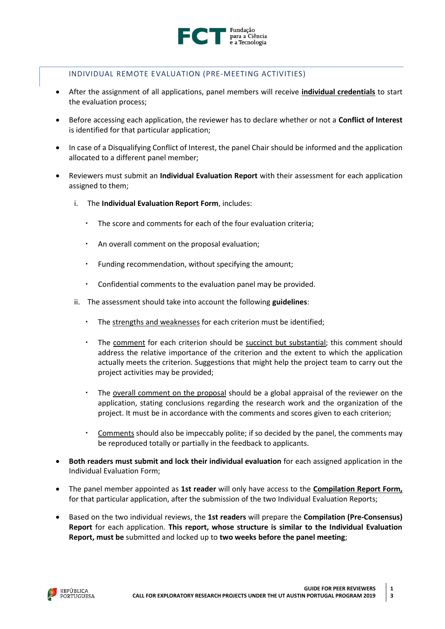

## <span id="page-12-0"></span>INDIVIDUAL REMOTE EVALUATION (PRE-MEETING ACTIVITIES)

- After the assignment of all applications, panel members will receive **individual credentials** to start the evaluation process;
- Before accessing each application, the reviewer has to declare whether or not a **Conflict of Interest** is identified for that particular application;
- In case of a Disqualifying Conflict of Interest, the panel Chair should be informed and the application allocated to a different panel member;
- Reviewers must submit an **Individual Evaluation Report** with their assessment for each application assigned to them;
	- i. The **Individual Evaluation Report Form**, includes:
		- The score and comments for each of the four evaluation criteria;
		- An overall comment on the proposal evaluation;
		- Funding recommendation, without specifying the amount;
		- Confidential comments to the evaluation panel may be provided.
	- ii. The assessment should take into account the following **guidelines**:
		- The strengths and weaknesses for each criterion must be identified;
		- The comment for each criterion should be succinct but substantial; this comment should address the relative importance of the criterion and the extent to which the application actually meets the criterion. Suggestions that might help the project team to carry out the project activities may be provided;
		- The overall comment on the proposal should be a global appraisal of the reviewer on the application, stating conclusions regarding the research work and the organization of the project. It must be in accordance with the comments and scores given to each criterion;
		- Comments should also be impeccably polite; if so decided by the panel, the comments may be reproduced totally or partially in the feedback to applicants.
- **Both readers must submit and lock their individual evaluation** for each assigned application in the Individual Evaluation Form;
- The panel member appointed as **1st reader** will only have access to the **Compilation Report Form,** for that particular application, after the submission of the two Individual Evaluation Reports;
- Based on the two individual reviews, the **1st readers** will prepare the **Compilation (Pre-Consensus) Report** for each application. **This report, whose structure is similar to the Individual Evaluation Report, must be** submitted and locked up to **two weeks before the panel meeting**;

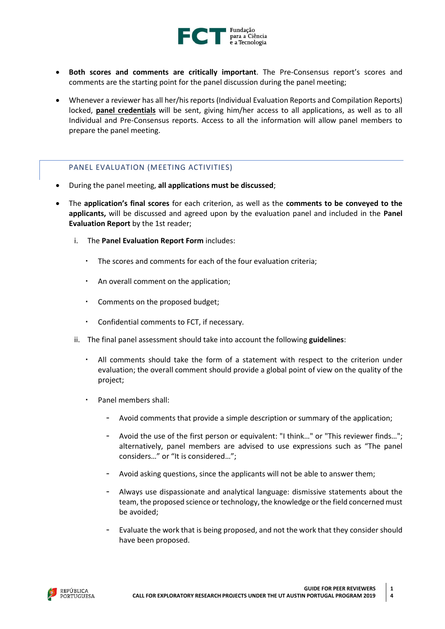

- **Both scores and comments are critically important**. The Pre-Consensus report's scores and comments are the starting point for the panel discussion during the panel meeting;
- Whenever a reviewer has all her/his reports (Individual Evaluation Reports and Compilation Reports) locked, **panel credentials** will be sent, giving him/her access to all applications, as well as to all Individual and Pre-Consensus reports. Access to all the information will allow panel members to prepare the panel meeting.

## <span id="page-13-0"></span>PANEL EVALUATION (MEETING ACTIVITIES)

- During the panel meeting, **all applications must be discussed**;
- The **application's final scores** for each criterion, as well as the **comments to be conveyed to the applicants,** will be discussed and agreed upon by the evaluation panel and included in the **Panel Evaluation Report** by the 1st reader;
	- i. The **Panel Evaluation Report Form** includes:
		- The scores and comments for each of the four evaluation criteria;
		- An overall comment on the application;
		- Comments on the proposed budget;
		- Confidential comments to FCT, if necessary.
	- ii. The final panel assessment should take into account the following **guidelines**:
		- All comments should take the form of a statement with respect to the criterion under evaluation; the overall comment should provide a global point of view on the quality of the project;
		- Panel members shall:
			- Avoid comments that provide a simple description or summary of the application;
			- Avoid the use of the first person or equivalent: "I think..." or "This reviewer finds..."; alternatively, panel members are advised to use expressions such as "The panel considers…" or "It is considered…";
			- Avoid asking questions, since the applicants will not be able to answer them;
			- Always use dispassionate and analytical language: dismissive statements about the team, the proposed science or technology, the knowledge or the field concerned must be avoided;
			- Evaluate the work that is being proposed, and not the work that they consider should have been proposed.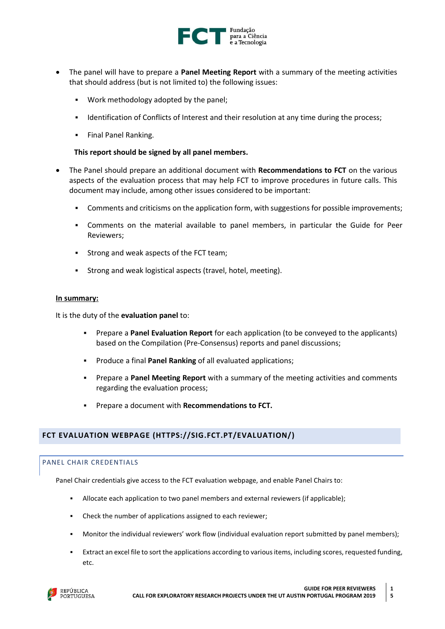

- The panel will have to prepare a **Panel Meeting Report** with a summary of the meeting activities that should address (but is not limited to) the following issues:
	- Work methodology adopted by the panel;
	- Identification of Conflicts of Interest and their resolution at any time during the process;
	- Final Panel Ranking.

## **This report should be signed by all panel members.**

- The Panel should prepare an additional document with **Recommendations to FCT** on the various aspects of the evaluation process that may help FCT to improve procedures in future calls. This document may include, among other issues considered to be important:
	- Comments and criticisms on the application form, with suggestions for possible improvements;
	- Comments on the material available to panel members, in particular the Guide for Peer Reviewers;
	- Strong and weak aspects of the FCT team;
	- Strong and weak logistical aspects (travel, hotel, meeting).

#### **In summary:**

It is the duty of the **evaluation panel** to:

- Prepare a **Panel Evaluation Report** for each application (to be conveyed to the applicants) based on the Compilation (Pre-Consensus) reports and panel discussions;
- Produce a final **Panel Ranking** of all evaluated applications;
- Prepare a **Panel Meeting Report** with a summary of the meeting activities and comments regarding the evaluation process;
- Prepare a document with **Recommendations to FCT.**

## <span id="page-14-0"></span>**FCT EVALUATION WEBPAGE [\(HTTPS://SIG.FCT.PT/EVALUATION/\)](https://sig.fct.pt/evaluation/)**

## <span id="page-14-1"></span>PANEL CHAIR CREDENTIALS

Panel Chair credentials give access to the FCT evaluation webpage, and enable Panel Chairs to:

- Allocate each application to two panel members and external reviewers (if applicable);
- Check the number of applications assigned to each reviewer;
- Monitor the individual reviewers' work flow (individual evaluation report submitted by panel members);
- Extract an excel file to sort the applications according to various items, including scores, requested funding, etc.

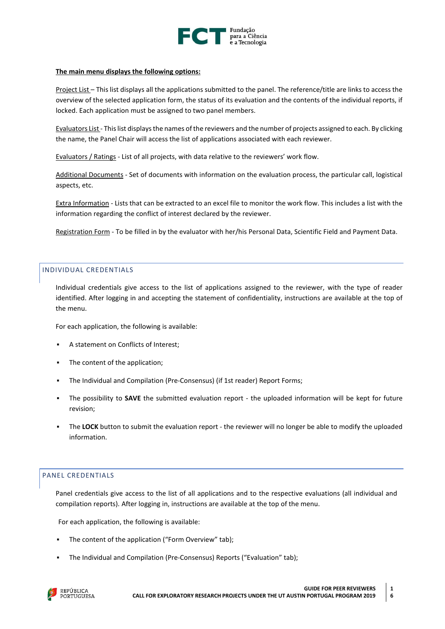

#### **The main menu displays the following options:**

Project List – This list displays all the applications submitted to the panel. The reference/title are links to access the overview of the selected application form, the status of its evaluation and the contents of the individual reports, if locked. Each application must be assigned to two panel members.

Evaluators List - This list displays the names of the reviewers and the number of projects assigned to each. By clicking the name, the Panel Chair will access the list of applications associated with each reviewer.

Evaluators / Ratings - List of all projects, with data relative to the reviewers' work flow.

Additional Documents - Set of documents with information on the evaluation process, the particular call, logistical aspects, etc.

Extra Information - Lists that can be extracted to an excel file to monitor the work flow. This includes a list with the information regarding the conflict of interest declared by the reviewer.

Registration Form - To be filled in by the evaluator with her/his Personal Data, Scientific Field and Payment Data.

#### <span id="page-15-0"></span>INDIVIDUAL CREDENTIALS

Individual credentials give access to the list of applications assigned to the reviewer, with the type of reader identified. After logging in and accepting the statement of confidentiality, instructions are available at the top of the menu.

For each application, the following is available:

- A statement on Conflicts of Interest;
- The content of the application;
- The Individual and Compilation (Pre-Consensus) (if 1st reader) Report Forms;
- The possibility to **SAVE** the submitted evaluation report the uploaded information will be kept for future revision;
- The LOCK button to submit the evaluation report the reviewer will no longer be able to modify the uploaded information.

#### <span id="page-15-1"></span>PANEL CREDENTIALS

Panel credentials give access to the list of all applications and to the respective evaluations (all individual and compilation reports). After logging in, instructions are available at the top of the menu.

For each application, the following is available:

- The content of the application ("Form Overview" tab);
- The Individual and Compilation (Pre-Consensus) Reports ("Evaluation" tab);

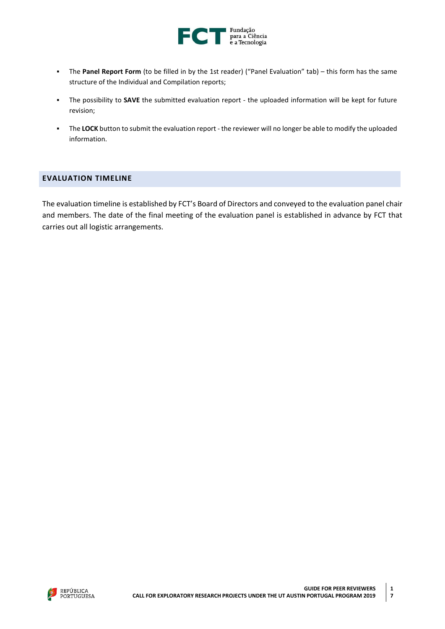

- The **Panel Report Form** (to be filled in by the 1st reader) ("Panel Evaluation" tab) this form has the same structure of the Individual and Compilation reports;
- The possibility to **SAVE** the submitted evaluation report the uploaded information will be kept for future revision;
- The **LOCK** button to submit the evaluation report the reviewer will no longer be able to modify the uploaded information.

## <span id="page-16-0"></span>**EVALUATION TIMELINE**

The evaluation timeline is established by FCT's Board of Directors and conveyed to the evaluation panel chair and members. The date of the final meeting of the evaluation panel is established in advance by FCT that carries out all logistic arrangements.

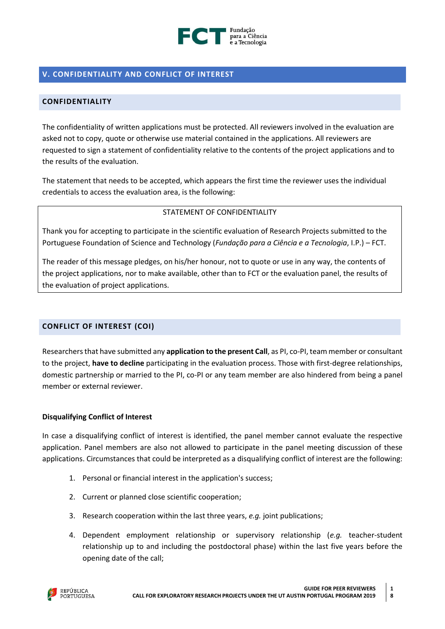

# <span id="page-17-0"></span>**V. CONFIDENTIALITY AND CONFLICT OF INTEREST**

## <span id="page-17-1"></span>**CONFIDENTIALITY**

The confidentiality of written applications must be protected. All reviewers involved in the evaluation are asked not to copy, quote or otherwise use material contained in the applications. All reviewers are requested to sign a statement of confidentiality relative to the contents of the project applications and to the results of the evaluation.

The statement that needs to be accepted, which appears the first time the reviewer uses the individual credentials to access the evaluation area, is the following:

## STATEMENT OF CONFIDENTIALITY

Thank you for accepting to participate in the scientific evaluation of Research Projects submitted to the Portuguese Foundation of Science and Technology (*Fundação para a Ciência e a Tecnologia*, I.P.) – FCT.

The reader of this message pledges, on his/her honour, not to quote or use in any way, the contents of the project applications, nor to make available, other than to FCT or the evaluation panel, the results of the evaluation of project applications.

## <span id="page-17-2"></span>**CONFLICT OF INTEREST (COI)**

Researchersthat have submitted any **application to the present Call**, as PI, co-PI, team member or consultant to the project, **have to decline** participating in the evaluation process. Those with first-degree relationships, domestic partnership or married to the PI, co-PI or any team member are also hindered from being a panel member or external reviewer.

## **Disqualifying Conflict of Interest**

In case a disqualifying conflict of interest is identified, the panel member cannot evaluate the respective application. Panel members are also not allowed to participate in the panel meeting discussion of these applications. Circumstances that could be interpreted as a disqualifying conflict of interest are the following:

- 1. Personal or financial interest in the application's success;
- 2. Current or planned close scientific cooperation;
- 3. Research cooperation within the last three years, *e.g.* joint publications;
- 4. Dependent employment relationship or supervisory relationship (*e.g.* teacher-student relationship up to and including the postdoctoral phase) within the last five years before the opening date of the call;

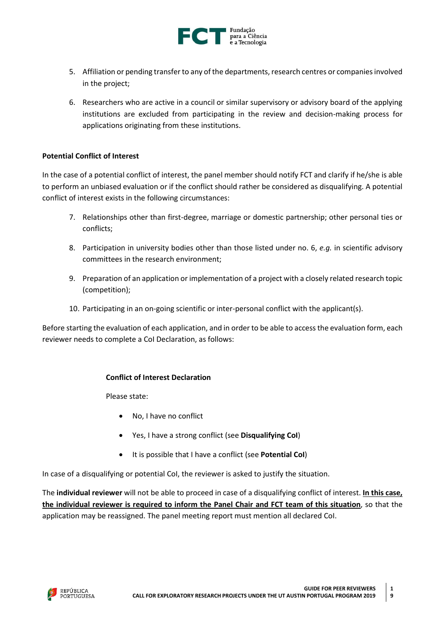

- 5. Affiliation or pending transfer to any of the departments, research centres or companies involved in the project;
- 6. Researchers who are active in a council or similar supervisory or advisory board of the applying institutions are excluded from participating in the review and decision-making process for applications originating from these institutions.

## **Potential Conflict of Interest**

In the case of a potential conflict of interest, the panel member should notify FCT and clarify if he/she is able to perform an unbiased evaluation or if the conflict should rather be considered as disqualifying. A potential conflict of interest exists in the following circumstances:

- 7. Relationships other than first-degree, marriage or domestic partnership; other personal ties or conflicts;
- 8. Participation in university bodies other than those listed under no. 6, *e.g.* in scientific advisory committees in the research environment;
- 9. Preparation of an application or implementation of a project with a closely related research topic (competition);
- 10. Participating in an on-going scientific or inter-personal conflict with the applicant(s).

Before starting the evaluation of each application, and in order to be able to access the evaluation form, each reviewer needs to complete a CoI Declaration, as follows:

## **Conflict of Interest Declaration**

Please state:

- No, I have no conflict
- Yes, I have a strong conflict (see **Disqualifying CoI**)
- It is possible that I have a conflict (see **Potential CoI**)

In case of a disqualifying or potential CoI, the reviewer is asked to justify the situation.

The **individual reviewer** will not be able to proceed in case of a disqualifying conflict of interest. **In this case, the individual reviewer is required to inform the Panel Chair and FCT team of this situation**, so that the application may be reassigned. The panel meeting report must mention all declared CoI.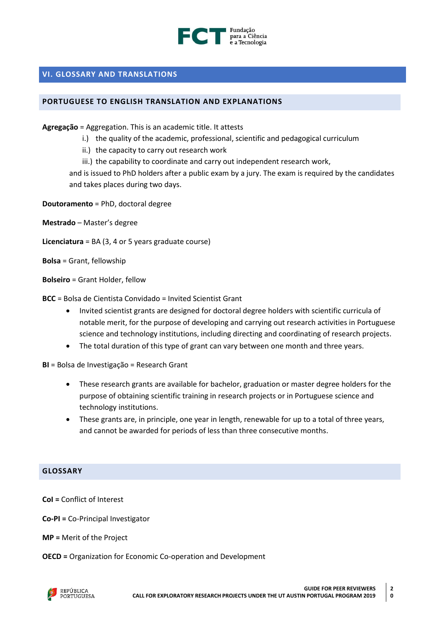

## <span id="page-19-0"></span>**VI. GLOSSARY AND TRANSLATIONS**

## <span id="page-19-1"></span>**PORTUGUESE TO ENGLISH TRANSLATION AND EXPLANATIONS**

**Agregação** = Aggregation. This is an academic title. It attests

- i.) the quality of the academic, professional, scientific and pedagogical curriculum
- ii.) the capacity to carry out research work
- iii.) the capability to coordinate and carry out independent research work,

and is issued to PhD holders after a public exam by a jury. The exam is required by the candidates and takes places during two days.

**Doutoramento** = PhD, doctoral degree

**Mestrado** – Master's degree

- **Licenciatura** = BA (3, 4 or 5 years graduate course)
- **Bolsa** = Grant, fellowship

**Bolseiro** = Grant Holder, fellow

**BCC** = Bolsa de Cientista Convidado = Invited Scientist Grant

- Invited scientist grants are designed for doctoral degree holders with scientific curricula of notable merit, for the purpose of developing and carrying out research activities in Portuguese science and technology institutions, including directing and coordinating of research projects.
- The total duration of this type of grant can vary between one month and three years.

**BI** = Bolsa de Investigação = Research Grant

- These research grants are available for bachelor, graduation or master degree holders for the purpose of obtaining scientific training in research projects or in Portuguese science and technology institutions.
- These grants are, in principle, one year in length, renewable for up to a total of three years, and cannot be awarded for periods of less than three consecutive months.

## <span id="page-19-2"></span>**GLOSSARY**

**CoI =** Conflict of Interest

**Co-PI =** Co-Principal Investigator

**MP =** Merit of the Project

**OECD =** Organization for Economic Co-operation and Development